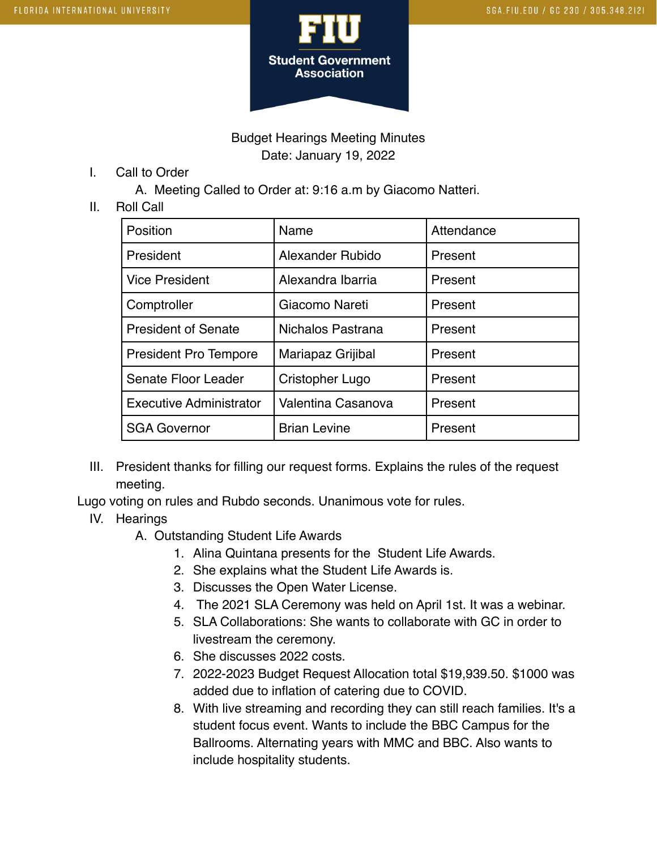

#### Budget Hearings Meeting Minutes Date: January 19, 2022

I. Call to Order

A. Meeting Called to Order at: 9:16 a.m by Giacomo Natteri.

#### II. Roll Call

| Position                       | Name                | Attendance |
|--------------------------------|---------------------|------------|
| President                      | Alexander Rubido    | Present    |
| <b>Vice President</b>          | Alexandra Ibarria   | Present    |
| Comptroller                    | Giacomo Nareti      | Present    |
| <b>President of Senate</b>     | Nichalos Pastrana   | Present    |
| <b>President Pro Tempore</b>   | Mariapaz Grijibal   | Present    |
| Senate Floor Leader            | Cristopher Lugo     | Present    |
| <b>Executive Administrator</b> | Valentina Casanova  | Present    |
| <b>SGA Governor</b>            | <b>Brian Levine</b> | Present    |

III. President thanks for filling our request forms. Explains the rules of the request meeting.

Lugo voting on rules and Rubdo seconds. Unanimous vote for rules.

- IV. Hearings
	- A. Outstanding Student Life Awards
		- 1. Alina Quintana presents for the Student Life Awards.
		- 2. She explains what the Student Life Awards is.
		- 3. Discusses the Open Water License.
		- 4. The 2021 SLA Ceremony was held on April 1st. It was a webinar.
		- 5. SLA Collaborations: She wants to collaborate with GC in order to livestream the ceremony.
		- 6. She discusses 2022 costs.
		- 7. 2022-2023 Budget Request Allocation total \$19,939.50. \$1000 was added due to inflation of catering due to COVID.
		- 8. With live streaming and recording they can still reach families. It's a student focus event. Wants to include the BBC Campus for the Ballrooms. Alternating years with MMC and BBC. Also wants to include hospitality students.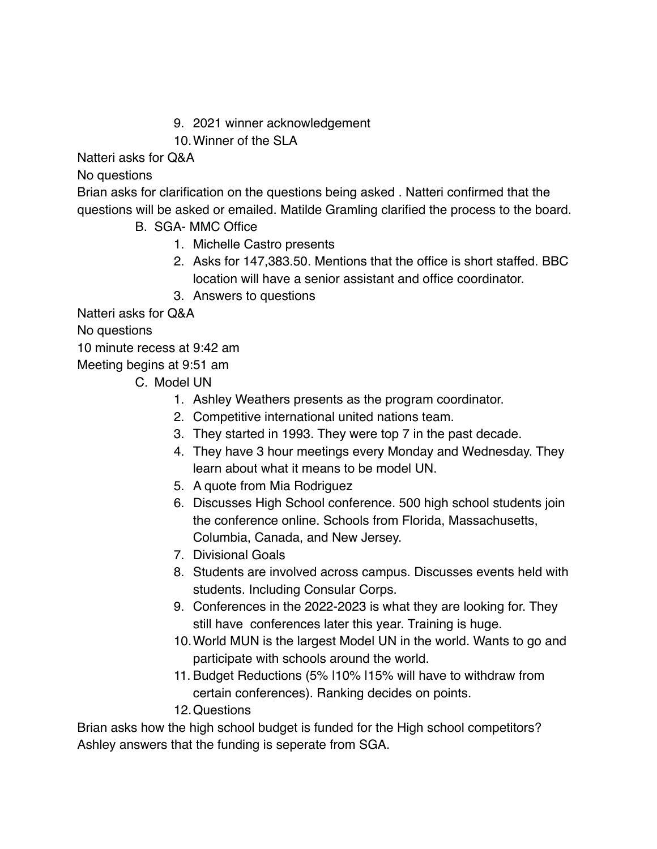- 9. 2021 winner acknowledgement
- 10.Winner of the SLA

Natteri asks for Q&A

No questions

Brian asks for clarification on the questions being asked . Natteri confirmed that the questions will be asked or emailed. Matilde Gramling clarified the process to the board.

- B. SGA- MMC Office
	- 1. Michelle Castro presents
	- 2. Asks for 147,383.50. Mentions that the office is short staffed. BBC location will have a senior assistant and office coordinator.
	- 3. Answers to questions

Natteri asks for Q&A

No questions

10 minute recess at 9:42 am

Meeting begins at 9:51 am

C. Model UN

- 1. Ashley Weathers presents as the program coordinator.
- 2. Competitive international united nations team.
- 3. They started in 1993. They were top 7 in the past decade.
- 4. They have 3 hour meetings every Monday and Wednesday. They learn about what it means to be model UN.
- 5. A quote from Mia Rodriguez
- 6. Discusses High School conference. 500 high school students join the conference online. Schools from Florida, Massachusetts, Columbia, Canada, and New Jersey.
- 7. Divisional Goals
- 8. Students are involved across campus. Discusses events held with students. Including Consular Corps.
- 9. Conferences in the 2022-2023 is what they are looking for. They still have conferences later this year. Training is huge.
- 10.World MUN is the largest Model UN in the world. Wants to go and participate with schools around the world.
- 11. Budget Reductions (5% |10% |15% will have to withdraw from certain conferences). Ranking decides on points.

12.Questions

Brian asks how the high school budget is funded for the High school competitors? Ashley answers that the funding is seperate from SGA.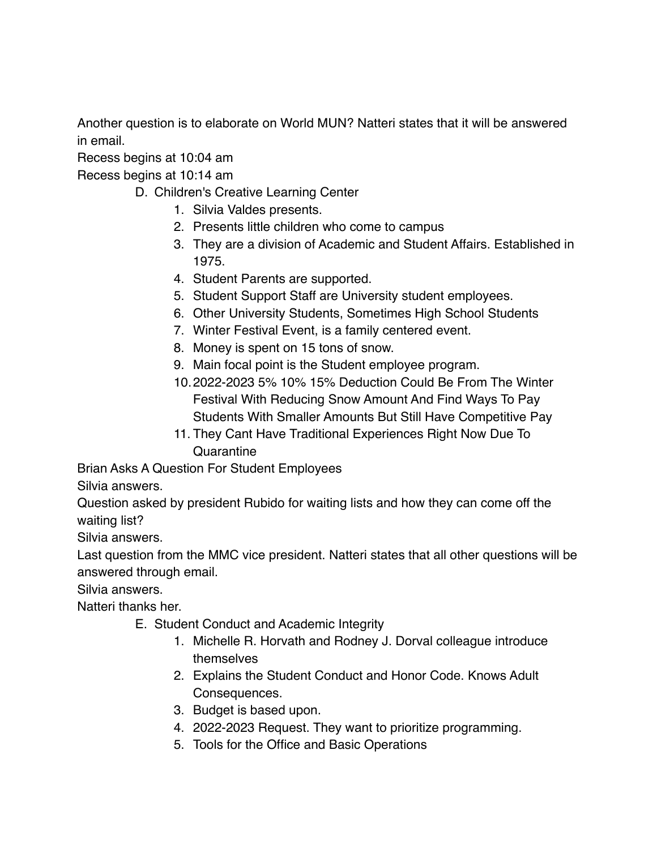Another question is to elaborate on World MUN? Natteri states that it will be answered in email.

Recess begins at 10:04 am

Recess begins at 10:14 am

- D. Children's Creative Learning Center
	- 1. Silvia Valdes presents.
	- 2. Presents little children who come to campus
	- 3. They are a division of Academic and Student Affairs. Established in 1975.
	- 4. Student Parents are supported.
	- 5. Student Support Staff are University student employees.
	- 6. Other University Students, Sometimes High School Students
	- 7. Winter Festival Event, is a family centered event.
	- 8. Money is spent on 15 tons of snow.
	- 9. Main focal point is the Student employee program.
	- 10.2022-2023 5% 10% 15% Deduction Could Be From The Winter Festival With Reducing Snow Amount And Find Ways To Pay Students With Smaller Amounts But Still Have Competitive Pay
	- 11. They Cant Have Traditional Experiences Right Now Due To **Quarantine**

Brian Asks A Question For Student Employees

Silvia answers.

Question asked by president Rubido for waiting lists and how they can come off the waiting list?

Silvia answers.

Last question from the MMC vice president. Natteri states that all other questions will be answered through email.

Silvia answers.

Natteri thanks her.

- E. Student Conduct and Academic Integrity
	- 1. Michelle R. Horvath and Rodney J. Dorval colleague introduce themselves
	- 2. Explains the Student Conduct and Honor Code. Knows Adult Consequences.
	- 3. Budget is based upon.
	- 4. 2022-2023 Request. They want to prioritize programming.
	- 5. Tools for the Office and Basic Operations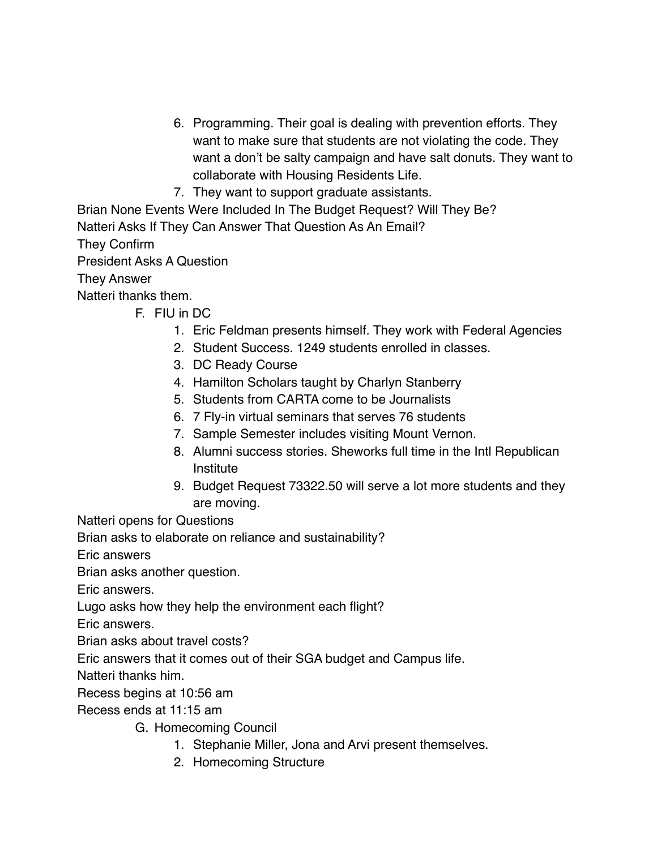- 6. Programming. Their goal is dealing with prevention efforts. They want to make sure that students are not violating the code. They want a don't be salty campaign and have salt donuts. They want to collaborate with Housing Residents Life.
- 7. They want to support graduate assistants.

Brian None Events Were Included In The Budget Request? Will They Be? Natteri Asks If They Can Answer That Question As An Email? They Confirm President Asks A Question They Answer Natteri thanks them.

- F. FIU in DC
	- 1. Eric Feldman presents himself. They work with Federal Agencies
	- 2. Student Success. 1249 students enrolled in classes.
	- 3. DC Ready Course
	- 4. Hamilton Scholars taught by Charlyn Stanberry
	- 5. Students from CARTA come to be Journalists
	- 6. 7 Fly-in virtual seminars that serves 76 students
	- 7. Sample Semester includes visiting Mount Vernon.
	- 8. Alumni success stories. Sheworks full time in the Intl Republican Institute
	- 9. Budget Request 73322.50 will serve a lot more students and they are moving.

Natteri opens for Questions

Brian asks to elaborate on reliance and sustainability?

Eric answers

Brian asks another question.

Eric answers.

Lugo asks how they help the environment each flight?

Eric answers.

Brian asks about travel costs?

Eric answers that it comes out of their SGA budget and Campus life.

Natteri thanks him.

Recess begins at 10:56 am

Recess ends at 11:15 am

G. Homecoming Council

- 1. Stephanie Miller, Jona and Arvi present themselves.
- 2. Homecoming Structure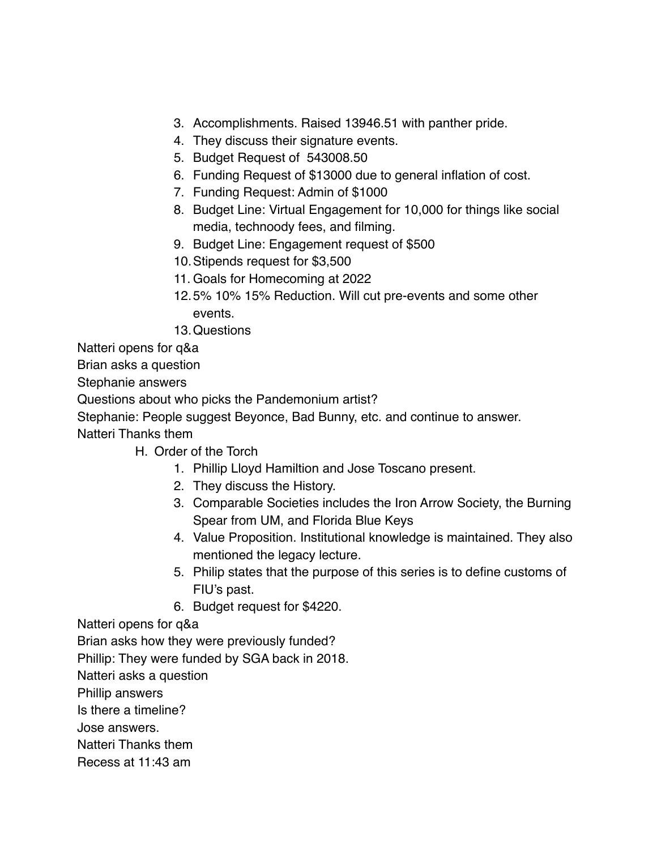- 3. Accomplishments. Raised 13946.51 with panther pride.
- 4. They discuss their signature events.
- 5. Budget Request of 543008.50
- 6. Funding Request of \$13000 due to general inflation of cost.
- 7. Funding Request: Admin of \$1000
- 8. Budget Line: Virtual Engagement for 10,000 for things like social media, technoody fees, and filming.
- 9. Budget Line: Engagement request of \$500
- 10.Stipends request for \$3,500
- 11. Goals for Homecoming at 2022
- 12.5% 10% 15% Reduction. Will cut pre-events and some other events.
- 13.Questions

Natteri opens for q&a

Brian asks a question

Stephanie answers

Questions about who picks the Pandemonium artist?

Stephanie: People suggest Beyonce, Bad Bunny, etc. and continue to answer.

Natteri Thanks them

- H. Order of the Torch
	- 1. Phillip Lloyd Hamiltion and Jose Toscano present.
	- 2. They discuss the History.
	- 3. Comparable Societies includes the Iron Arrow Society, the Burning Spear from UM, and Florida Blue Keys
	- 4. Value Proposition. Institutional knowledge is maintained. They also mentioned the legacy lecture.
	- 5. Philip states that the purpose of this series is to define customs of FIU's past.
	- 6. Budget request for \$4220.

Natteri opens for q&a

Brian asks how they were previously funded?

Phillip: They were funded by SGA back in 2018.

Natteri asks a question

Phillip answers

Is there a timeline?

Jose answers.

Natteri Thanks them

Recess at 11:43 am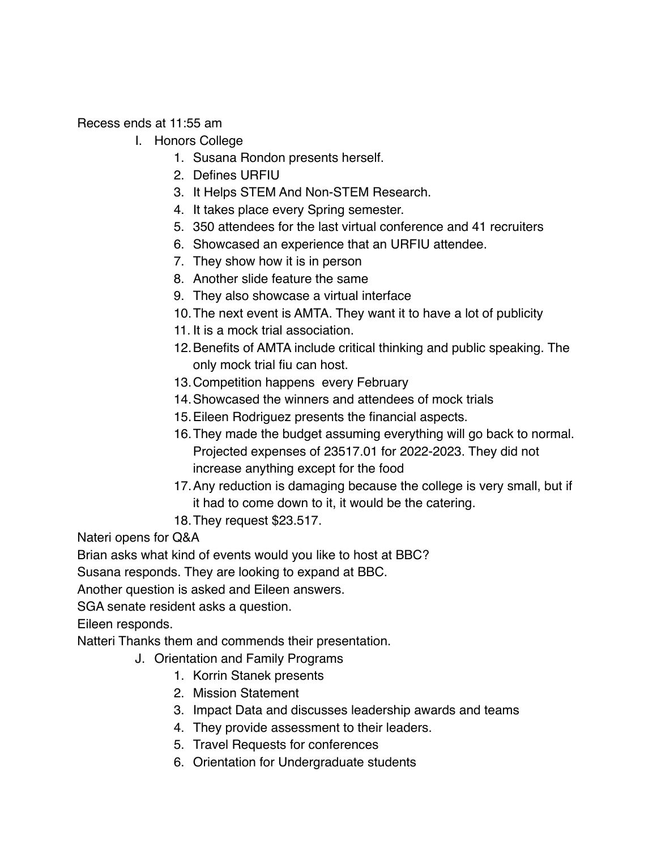Recess ends at 11:55 am

- I. Honors College
	- 1. Susana Rondon presents herself.
	- 2. Defines URFIU
	- 3. It Helps STEM And Non-STEM Research.
	- 4. It takes place every Spring semester.
	- 5. 350 attendees for the last virtual conference and 41 recruiters
	- 6. Showcased an experience that an URFIU attendee.
	- 7. They show how it is in person
	- 8. Another slide feature the same
	- 9. They also showcase a virtual interface
	- 10.The next event is AMTA. They want it to have a lot of publicity
	- 11. It is a mock trial association.
	- 12.Benefits of AMTA include critical thinking and public speaking. The only mock trial fiu can host.
	- 13.Competition happens every February
	- 14.Showcased the winners and attendees of mock trials
	- 15.Eileen Rodriguez presents the financial aspects.
	- 16.They made the budget assuming everything will go back to normal. Projected expenses of 23517.01 for 2022-2023. They did not increase anything except for the food
	- 17.Any reduction is damaging because the college is very small, but if it had to come down to it, it would be the catering.
	- 18.They request \$23.517.

Nateri opens for Q&A

Brian asks what kind of events would you like to host at BBC?

Susana responds. They are looking to expand at BBC.

Another question is asked and Eileen answers.

SGA senate resident asks a question.

Eileen responds.

Natteri Thanks them and commends their presentation.

- J. Orientation and Family Programs
	- 1. Korrin Stanek presents
	- 2. Mission Statement
	- 3. Impact Data and discusses leadership awards and teams
	- 4. They provide assessment to their leaders.
	- 5. Travel Requests for conferences
	- 6. Orientation for Undergraduate students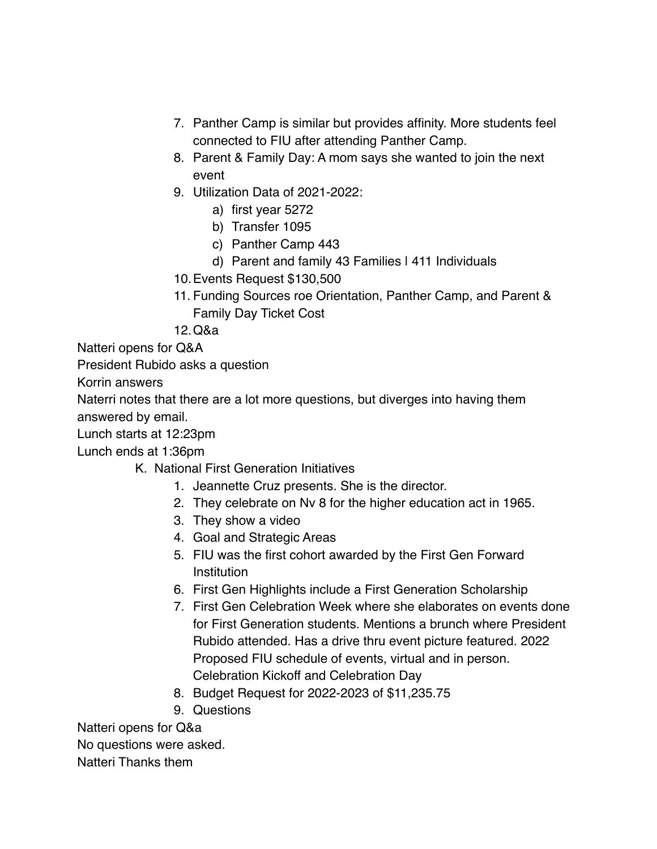- 7. Panther Camp is similar but provides affinity. More students feel connected to FIU after attending Panther Camp.
- 8. Parent & Family Day: A mom says she wanted to join the next event
- 9. Utilization Data of 2021-2022:
	- a) first year 5272
	- b) Transfer 1095
	- c) Panther Camp 443
	- d) Parent and family 43 Families | 411 Individuals
- 10.Events Request \$130,500
- 11. Funding Sources roe Orientation, Panther Camp, and Parent & Family Day Ticket Cost
- 12.Q&a

Natteri opens for Q&A

President Rubido asks a question

Korrin answers

Naterri notes that there are a lot more questions, but diverges into having them answered by email.

Lunch starts at 12:23pm

Lunch ends at 1:36pm

- K. National First Generation Initiatives
	- 1. Jeannette Cruz presents. She is the director.
	- 2. They celebrate on Nv 8 for the higher education act in 1965.
	- 3. They show a video
	- 4. Goal and Strategic Areas
	- 5. FIU was the first cohort awarded by the First Gen Forward Institution
	- 6. First Gen Highlights include a First Generation Scholarship
	- 7. First Gen Celebration Week where she elaborates on events done for First Generation students. Mentions a brunch where President Rubido attended. Has a drive thru event picture featured. 2022 Proposed FIU schedule of events, virtual and in person. Celebration Kickoff and Celebration Day
	- 8. Budget Request for 2022-2023 of \$11,235.75
	- 9. Questions

Natteri opens for Q&a

No questions were asked.

Natteri Thanks them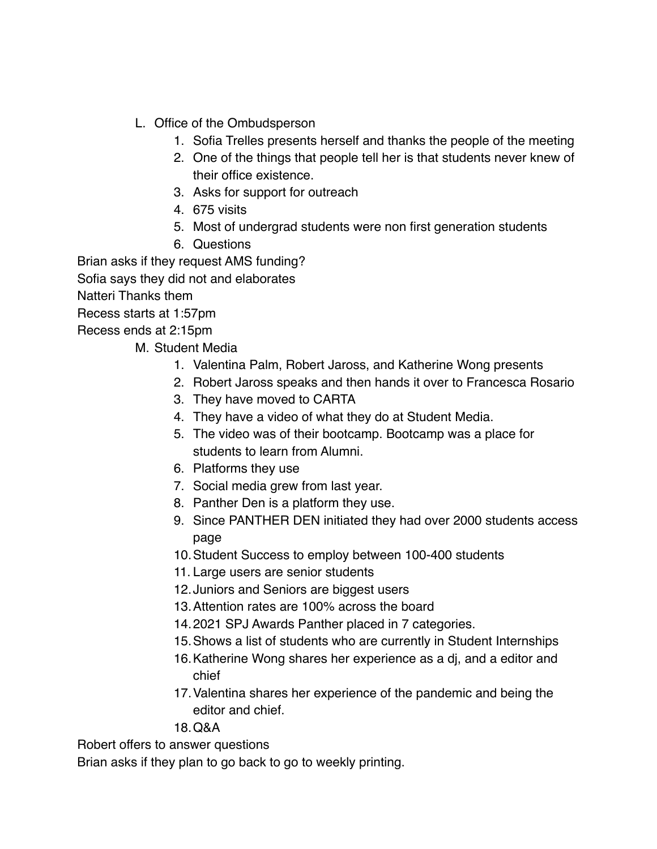- L. Office of the Ombudsperson
	- 1. Sofia Trelles presents herself and thanks the people of the meeting
	- 2. One of the things that people tell her is that students never knew of their office existence.
	- 3. Asks for support for outreach
	- 4. 675 visits
	- 5. Most of undergrad students were non first generation students
	- 6. Questions

Brian asks if they request AMS funding?

Sofia says they did not and elaborates

Natteri Thanks them

Recess starts at 1:57pm

Recess ends at 2:15pm

M. Student Media

- 1. Valentina Palm, Robert Jaross, and Katherine Wong presents
- 2. Robert Jaross speaks and then hands it over to Francesca Rosario
- 3. They have moved to CARTA
- 4. They have a video of what they do at Student Media.
- 5. The video was of their bootcamp. Bootcamp was a place for students to learn from Alumni.
- 6. Platforms they use
- 7. Social media grew from last year.
- 8. Panther Den is a platform they use.
- 9. Since PANTHER DEN initiated they had over 2000 students access page
- 10.Student Success to employ between 100-400 students
- 11. Large users are senior students
- 12.Juniors and Seniors are biggest users
- 13.Attention rates are 100% across the board
- 14.2021 SPJ Awards Panther placed in 7 categories.
- 15.Shows a list of students who are currently in Student Internships
- 16.Katherine Wong shares her experience as a dj, and a editor and chief
- 17.Valentina shares her experience of the pandemic and being the editor and chief.
- 18.Q&A

Robert offers to answer questions

Brian asks if they plan to go back to go to weekly printing.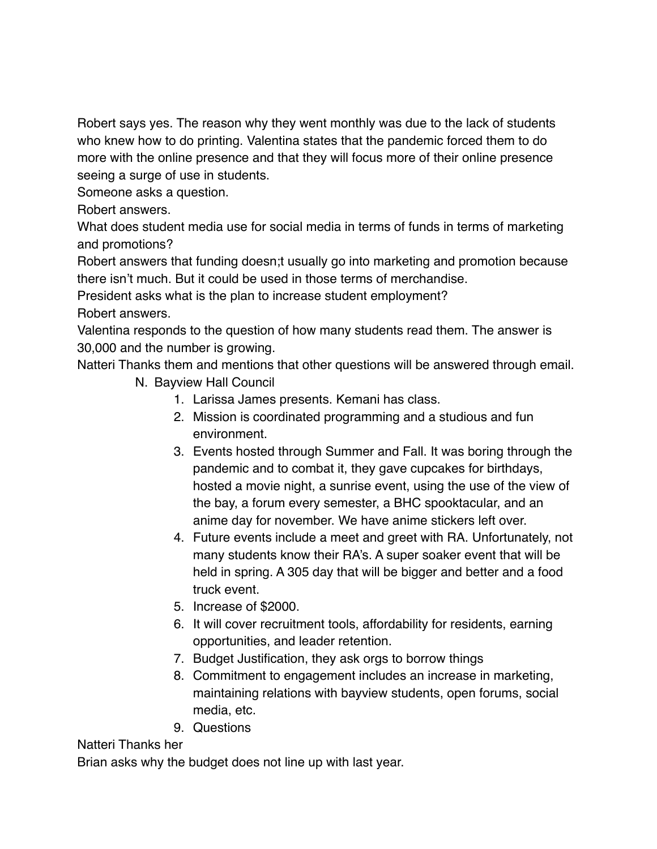Robert says yes. The reason why they went monthly was due to the lack of students who knew how to do printing. Valentina states that the pandemic forced them to do more with the online presence and that they will focus more of their online presence seeing a surge of use in students.

Someone asks a question.

Robert answers.

What does student media use for social media in terms of funds in terms of marketing and promotions?

Robert answers that funding doesn;t usually go into marketing and promotion because there isn't much. But it could be used in those terms of merchandise.

President asks what is the plan to increase student employment?

Robert answers.

Valentina responds to the question of how many students read them. The answer is 30,000 and the number is growing.

Natteri Thanks them and mentions that other questions will be answered through email.

- N. Bayview Hall Council
	- 1. Larissa James presents. Kemani has class.
	- 2. Mission is coordinated programming and a studious and fun environment.
	- 3. Events hosted through Summer and Fall. It was boring through the pandemic and to combat it, they gave cupcakes for birthdays, hosted a movie night, a sunrise event, using the use of the view of the bay, a forum every semester, a BHC spooktacular, and an anime day for november. We have anime stickers left over.
	- 4. Future events include a meet and greet with RA. Unfortunately, not many students know their RA's. A super soaker event that will be held in spring. A 305 day that will be bigger and better and a food truck event.
	- 5. Increase of \$2000.
	- 6. It will cover recruitment tools, affordability for residents, earning opportunities, and leader retention.
	- 7. Budget Justification, they ask orgs to borrow things
	- 8. Commitment to engagement includes an increase in marketing, maintaining relations with bayview students, open forums, social media, etc.
	- 9. Questions

### Natteri Thanks her

Brian asks why the budget does not line up with last year.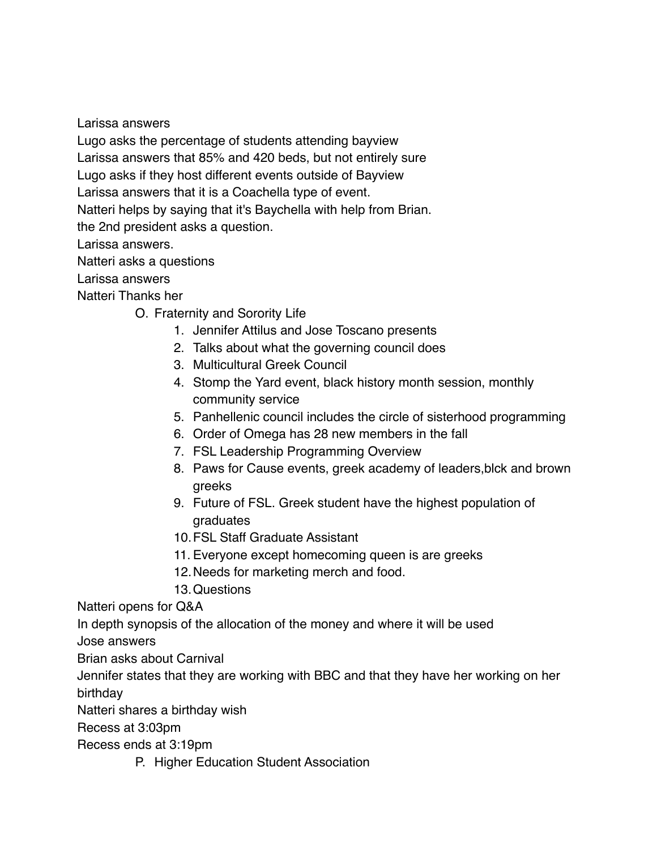Larissa answers

Lugo asks the percentage of students attending bayview

Larissa answers that 85% and 420 beds, but not entirely sure

Lugo asks if they host different events outside of Bayview

Larissa answers that it is a Coachella type of event.

Natteri helps by saying that it's Baychella with help from Brian.

the 2nd president asks a question.

Larissa answers.

Natteri asks a questions

Larissa answers

Natteri Thanks her

O. Fraternity and Sorority Life

- 1. Jennifer Attilus and Jose Toscano presents
- 2. Talks about what the governing council does
- 3. Multicultural Greek Council
- 4. Stomp the Yard event, black history month session, monthly community service
- 5. Panhellenic council includes the circle of sisterhood programming
- 6. Order of Omega has 28 new members in the fall
- 7. FSL Leadership Programming Overview
- 8. Paws for Cause events, greek academy of leaders,blck and brown greeks
- 9. Future of FSL. Greek student have the highest population of graduates
- 10.FSL Staff Graduate Assistant
- 11. Everyone except homecoming queen is are greeks
- 12.Needs for marketing merch and food.
- 13.Questions

Natteri opens for Q&A

In depth synopsis of the allocation of the money and where it will be used

Jose answers

Brian asks about Carnival

Jennifer states that they are working with BBC and that they have her working on her birthday

Natteri shares a birthday wish

Recess at 3:03pm

Recess ends at 3:19pm

P. Higher Education Student Association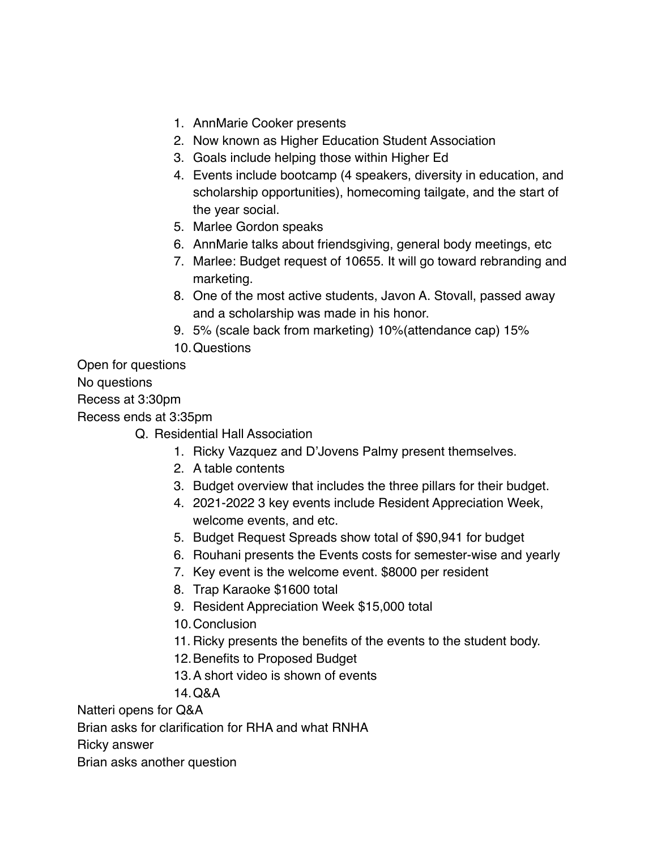- 1. AnnMarie Cooker presents
- 2. Now known as Higher Education Student Association
- 3. Goals include helping those within Higher Ed
- 4. Events include bootcamp (4 speakers, diversity in education, and scholarship opportunities), homecoming tailgate, and the start of the year social.
- 5. Marlee Gordon speaks
- 6. AnnMarie talks about friendsgiving, general body meetings, etc
- 7. Marlee: Budget request of 10655. It will go toward rebranding and marketing.
- 8. One of the most active students, Javon A. Stovall, passed away and a scholarship was made in his honor.
- 9. 5% (scale back from marketing) 10%(attendance cap) 15%
- 10.Questions

Open for questions

No questions

Recess at 3:30pm

Recess ends at 3:35pm

- Q. Residential Hall Association
	- 1. Ricky Vazquez and D'Jovens Palmy present themselves.
	- 2. A table contents
	- 3. Budget overview that includes the three pillars for their budget.
	- 4. 2021-2022 3 key events include Resident Appreciation Week, welcome events, and etc.
	- 5. Budget Request Spreads show total of \$90,941 for budget
	- 6. Rouhani presents the Events costs for semester-wise and yearly
	- 7. Key event is the welcome event. \$8000 per resident
	- 8. Trap Karaoke \$1600 total
	- 9. Resident Appreciation Week \$15,000 total
	- 10.Conclusion
	- 11. Ricky presents the benefits of the events to the student body.
	- 12.Benefits to Proposed Budget
	- 13.A short video is shown of events
	- 14.Q&A

Natteri opens for Q&A

Brian asks for clarification for RHA and what RNHA

Ricky answer

Brian asks another question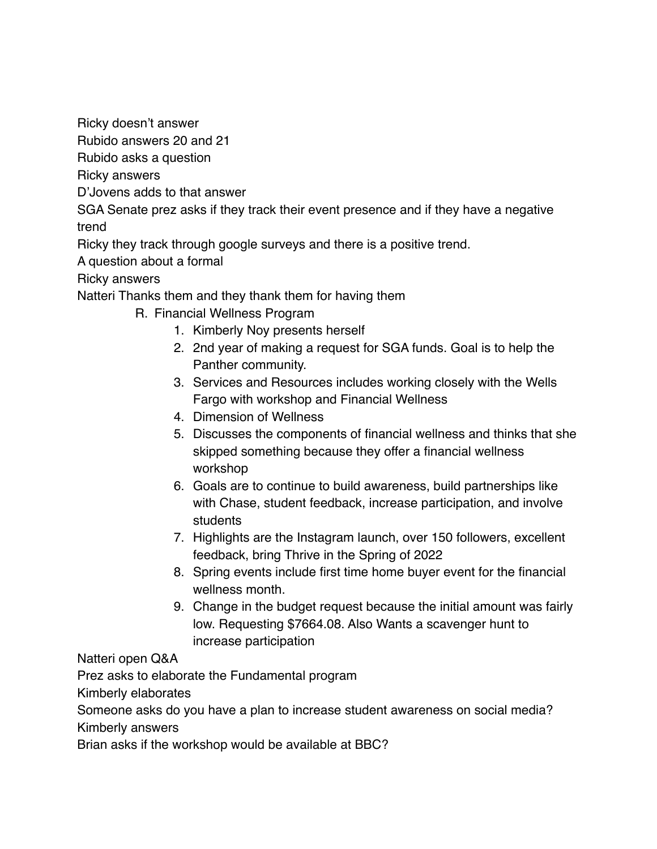Ricky doesn't answer

Rubido answers 20 and 21

Rubido asks a question

Ricky answers

D'Jovens adds to that answer

SGA Senate prez asks if they track their event presence and if they have a negative trend

Ricky they track through google surveys and there is a positive trend.

A question about a formal

#### Ricky answers

Natteri Thanks them and they thank them for having them

- R. Financial Wellness Program
	- 1. Kimberly Noy presents herself
	- 2. 2nd year of making a request for SGA funds. Goal is to help the Panther community.
	- 3. Services and Resources includes working closely with the Wells Fargo with workshop and Financial Wellness
	- 4. Dimension of Wellness
	- 5. Discusses the components of financial wellness and thinks that she skipped something because they offer a financial wellness workshop
	- 6. Goals are to continue to build awareness, build partnerships like with Chase, student feedback, increase participation, and involve students
	- 7. Highlights are the Instagram launch, over 150 followers, excellent feedback, bring Thrive in the Spring of 2022
	- 8. Spring events include first time home buyer event for the financial wellness month.
	- 9. Change in the budget request because the initial amount was fairly low. Requesting \$7664.08. Also Wants a scavenger hunt to increase participation

Natteri open Q&A

Prez asks to elaborate the Fundamental program

Kimberly elaborates

Someone asks do you have a plan to increase student awareness on social media? Kimberly answers

Brian asks if the workshop would be available at BBC?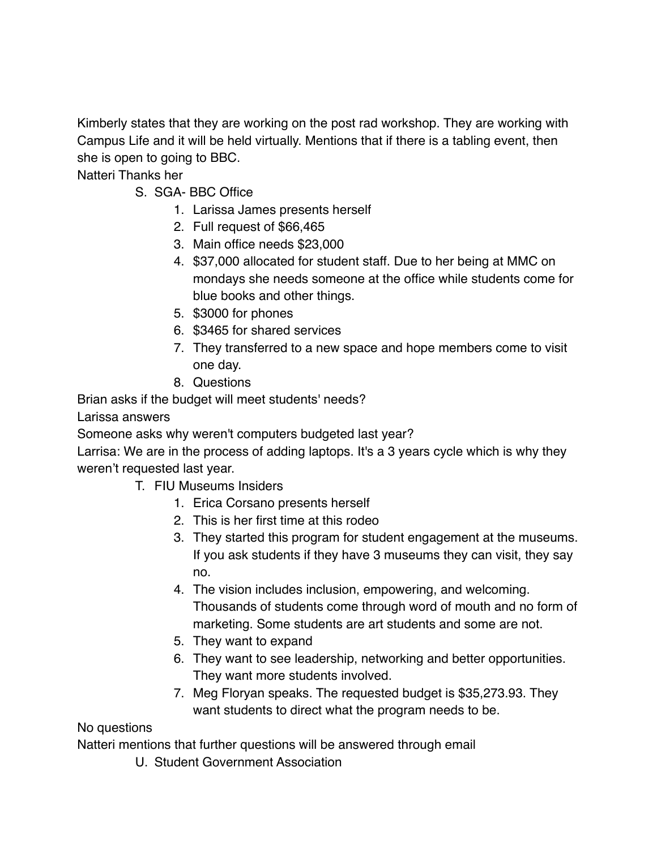Kimberly states that they are working on the post rad workshop. They are working with Campus Life and it will be held virtually. Mentions that if there is a tabling event, then she is open to going to BBC.

Natteri Thanks her

- S. SGA- BBC Office
	- 1. Larissa James presents herself
	- 2. Full request of \$66,465
	- 3. Main office needs \$23,000
	- 4. \$37,000 allocated for student staff. Due to her being at MMC on mondays she needs someone at the office while students come for blue books and other things.
	- 5. \$3000 for phones
	- 6. \$3465 for shared services
	- 7. They transferred to a new space and hope members come to visit one day.
	- 8. Questions

Brian asks if the budget will meet students' needs?

Larissa answers

Someone asks why weren't computers budgeted last year?

Larrisa: We are in the process of adding laptops. It's a 3 years cycle which is why they weren't requested last year.

- T. FIU Museums Insiders
	- 1. Erica Corsano presents herself
	- 2. This is her first time at this rodeo
	- 3. They started this program for student engagement at the museums. If you ask students if they have 3 museums they can visit, they say no.
	- 4. The vision includes inclusion, empowering, and welcoming. Thousands of students come through word of mouth and no form of marketing. Some students are art students and some are not.
	- 5. They want to expand
	- 6. They want to see leadership, networking and better opportunities. They want more students involved.
	- 7. Meg Floryan speaks. The requested budget is \$35,273.93. They want students to direct what the program needs to be.

#### No questions

Natteri mentions that further questions will be answered through email

U. Student Government Association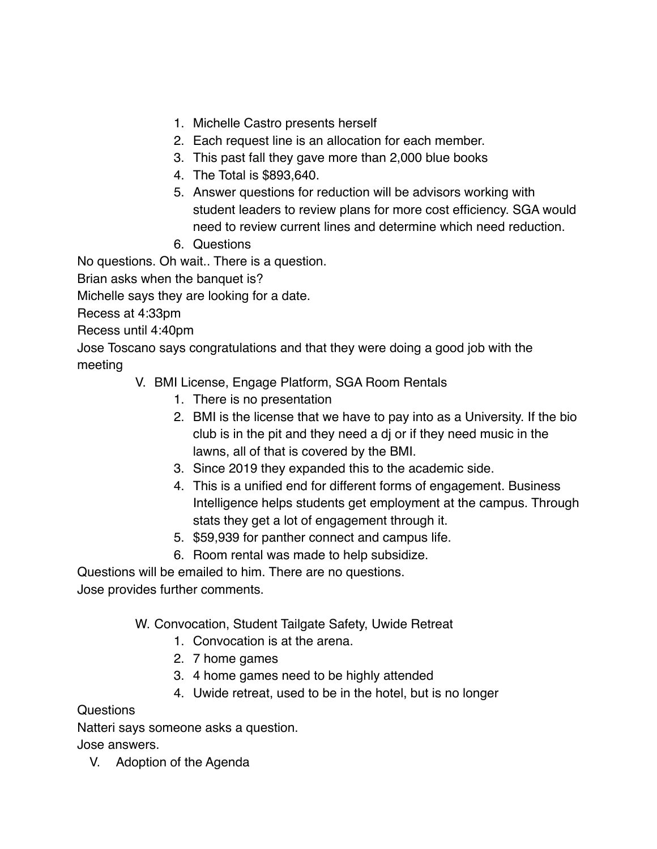- 1. Michelle Castro presents herself
- 2. Each request line is an allocation for each member.
- 3. This past fall they gave more than 2,000 blue books
- 4. The Total is \$893,640.
- 5. Answer questions for reduction will be advisors working with student leaders to review plans for more cost efficiency. SGA would need to review current lines and determine which need reduction.
- 6. Questions

No questions. Oh wait.. There is a question.

Brian asks when the banquet is?

Michelle says they are looking for a date.

Recess at 4:33pm

Recess until 4:40pm

Jose Toscano says congratulations and that they were doing a good job with the meeting

- V. BMI License, Engage Platform, SGA Room Rentals
	- 1. There is no presentation
	- 2. BMI is the license that we have to pay into as a University. If the bio club is in the pit and they need a dj or if they need music in the lawns, all of that is covered by the BMI.
	- 3. Since 2019 they expanded this to the academic side.
	- 4. This is a unified end for different forms of engagement. Business Intelligence helps students get employment at the campus. Through stats they get a lot of engagement through it.
	- 5. \$59,939 for panther connect and campus life.
	- 6. Room rental was made to help subsidize.

Questions will be emailed to him. There are no questions.

Jose provides further comments.

W. Convocation, Student Tailgate Safety, Uwide Retreat

- 1. Convocation is at the arena.
- 2. 7 home games
- 3. 4 home games need to be highly attended
- 4. Uwide retreat, used to be in the hotel, but is no longer

#### Questions

Natteri says someone asks a question.

Jose answers.

V. Adoption of the Agenda